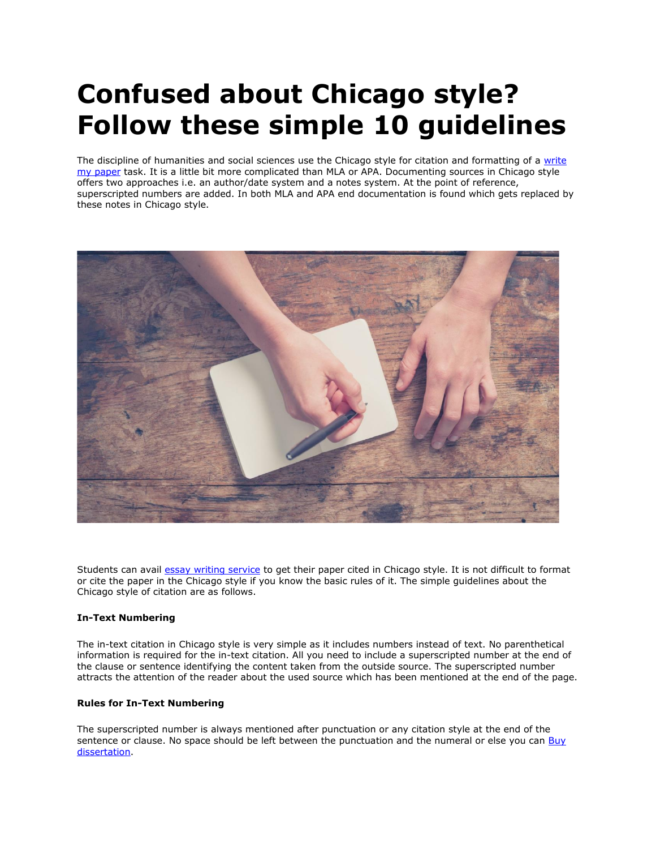# **Confused about Chicago style? Follow these simple 10 guidelines**

The discipline of humanities and social sciences use the Chicago style for citation and formatting of a write [my paper](https://www.myperfectpaper.net/) task. It is a little bit more complicated than MLA or APA. Documenting sources in Chicago style offers two approaches i.e. an author/date system and a notes system. At the point of reference, superscripted numbers are added. In both MLA and APA end documentation is found which gets replaced by these notes in Chicago style.



Students can avail [essay writing service](https://www.myperfectwords.com/) to get their paper cited in Chicago style. It is not difficult to format or cite the paper in the Chicago style if you know the basic rules of it. The simple guidelines about the Chicago style of citation are as follows.

# **In-Text Numbering**

The in-text citation in Chicago style is very simple as it includes numbers instead of text. No parenthetical information is required for the in-text citation. All you need to include a superscripted number at the end of the clause or sentence identifying the content taken from the outside source. The superscripted number attracts the attention of the reader about the used source which has been mentioned at the end of the page.

## **Rules for In-Text Numbering**

The superscripted number is always mentioned after punctuation or any citation style at the end of the sentence or clause. No space should be left between the punctuation and the numeral or else you can Buy [dissertation.](https://www.gradschoolgenius.com/buy-dissertation)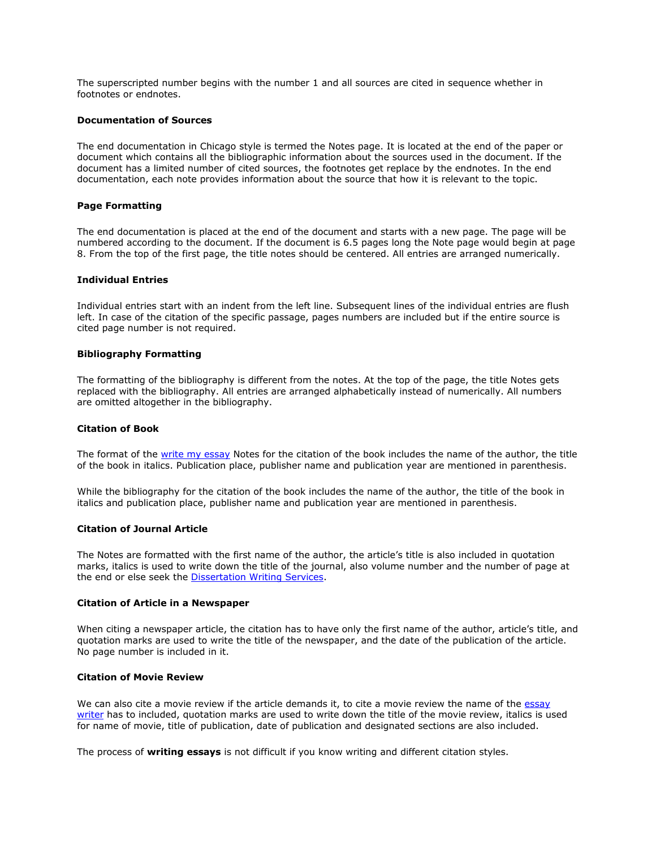The superscripted number begins with the number 1 and all sources are cited in sequence whether in footnotes or endnotes.

#### **Documentation of Sources**

The end documentation in Chicago style is termed the Notes page. It is located at the end of the paper or document which contains all the bibliographic information about the sources used in the document. If the document has a limited number of cited sources, the footnotes get replace by the endnotes. In the end documentation, each note provides information about the source that how it is relevant to the topic.

#### **Page Formatting**

The end documentation is placed at the end of the document and starts with a new page. The page will be numbered according to the document. If the document is 6.5 pages long the Note page would begin at page 8. From the top of the first page, the title notes should be centered. All entries are arranged numerically.

#### **Individual Entries**

Individual entries start with an indent from the left line. Subsequent lines of the individual entries are flush left. In case of the citation of the specific passage, pages numbers are included but if the entire source is cited page number is not required.

#### **Bibliography Formatting**

The formatting of the bibliography is different from the notes. At the top of the page, the title Notes gets replaced with the bibliography. All entries are arranged alphabetically instead of numerically. All numbers are omitted altogether in the bibliography.

#### **Citation of Book**

The format of the [write my essay](https://www.writemyessay.help/) Notes for the citation of the book includes the name of the author, the title of the book in italics. Publication place, publisher name and publication year are mentioned in parenthesis.

While the bibliography for the citation of the book includes the name of the author, the title of the book in italics and publication place, publisher name and publication year are mentioned in parenthesis.

#### **Citation of Journal Article**

The Notes are formatted with the first name of the author, the article's title is also included in quotation marks, italics is used to write down the title of the journal, also volume number and the number of page at the end or else seek the [Dissertation Writing Services.](https://www.gradschoolgenius.com/dissertation-writing-services)

#### **Citation of Article in a Newspaper**

When citing a newspaper article, the citation has to have only the first name of the author, article's title, and quotation marks are used to write the title of the newspaper, and the date of the publication of the article. No page number is included in it.

## **Citation of Movie Review**

We can also cite a movie review if the article demands it, to cite a movie review the name of the essay [writer](https://www.essaywriter.college/) has to included, quotation marks are used to write down the title of the movie review, italics is used for name of movie, title of publication, date of publication and designated sections are also included.

The process of **writing essays** is not difficult if you know writing and different citation styles.